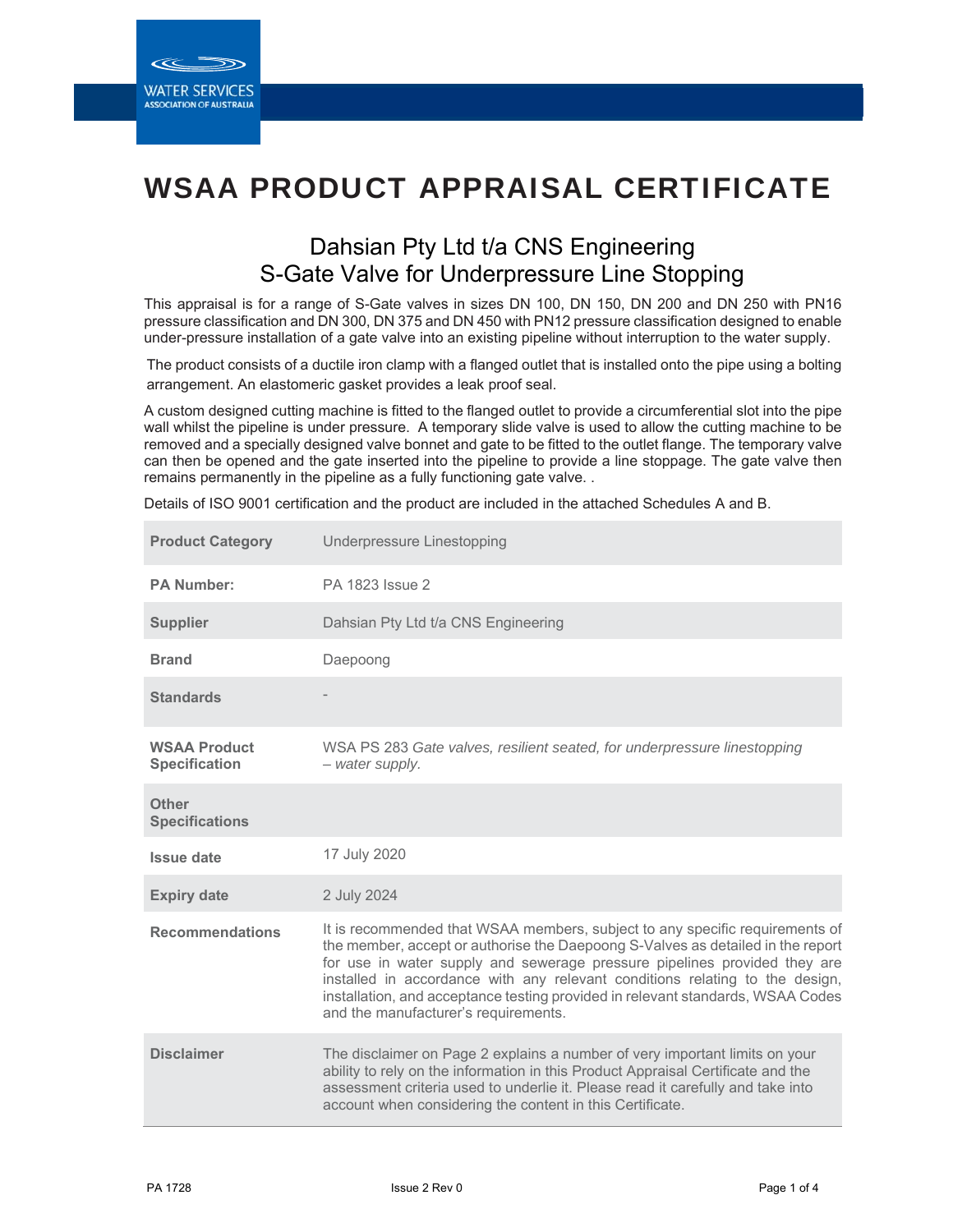**ASSOCIATION OF AUSTRALIA** 

# WSAA PRODUCT APPRAISAL CERTIFICATE

## Dahsian Pty Ltd t/a CNS Engineering S-Gate Valve for Underpressure Line Stopping

This appraisal is for a range of S-Gate valves in sizes DN 100, DN 150, DN 200 and DN 250 with PN16 pressure classification and DN 300, DN 375 and DN 450 with PN12 pressure classification designed to enable under-pressure installation of a gate valve into an existing pipeline without interruption to the water supply.

The product consists of a ductile iron clamp with a flanged outlet that is installed onto the pipe using a bolting arrangement. An elastomeric gasket provides a leak proof seal.

A custom designed cutting machine is fitted to the flanged outlet to provide a circumferential slot into the pipe wall whilst the pipeline is under pressure. A temporary slide valve is used to allow the cutting machine to be removed and a specially designed valve bonnet and gate to be fitted to the outlet flange. The temporary valve can then be opened and the gate inserted into the pipeline to provide a line stoppage. The gate valve then remains permanently in the pipeline as a fully functioning gate valve. .

Details of ISO 9001 certification and the product are included in the attached Schedules A and B.

| <b>Product Category</b>                     | Underpressure Linestopping                                                                                                                                                                                                                                                                                                                                                                                                                              |
|---------------------------------------------|---------------------------------------------------------------------------------------------------------------------------------------------------------------------------------------------------------------------------------------------------------------------------------------------------------------------------------------------------------------------------------------------------------------------------------------------------------|
| <b>PA Number:</b>                           | PA 1823 Issue 2                                                                                                                                                                                                                                                                                                                                                                                                                                         |
| <b>Supplier</b>                             | Dahsian Pty Ltd t/a CNS Engineering                                                                                                                                                                                                                                                                                                                                                                                                                     |
| <b>Brand</b>                                | Daepoong                                                                                                                                                                                                                                                                                                                                                                                                                                                |
| <b>Standards</b>                            |                                                                                                                                                                                                                                                                                                                                                                                                                                                         |
| <b>WSAA Product</b><br><b>Specification</b> | WSA PS 283 Gate valves, resilient seated, for underpressure linestopping<br>- water supply.                                                                                                                                                                                                                                                                                                                                                             |
| <b>Other</b><br><b>Specifications</b>       |                                                                                                                                                                                                                                                                                                                                                                                                                                                         |
| <b>Issue date</b>                           | 17 July 2020                                                                                                                                                                                                                                                                                                                                                                                                                                            |
| <b>Expiry date</b>                          | 2 July 2024                                                                                                                                                                                                                                                                                                                                                                                                                                             |
| <b>Recommendations</b>                      | It is recommended that WSAA members, subject to any specific requirements of<br>the member, accept or authorise the Daepoong S-Valves as detailed in the report<br>for use in water supply and sewerage pressure pipelines provided they are<br>installed in accordance with any relevant conditions relating to the design,<br>installation, and acceptance testing provided in relevant standards, WSAA Codes<br>and the manufacturer's requirements. |
| <b>Disclaimer</b>                           | The disclaimer on Page 2 explains a number of very important limits on your<br>ability to rely on the information in this Product Appraisal Certificate and the<br>assessment criteria used to underlie it. Please read it carefully and take into<br>account when considering the content in this Certificate.                                                                                                                                         |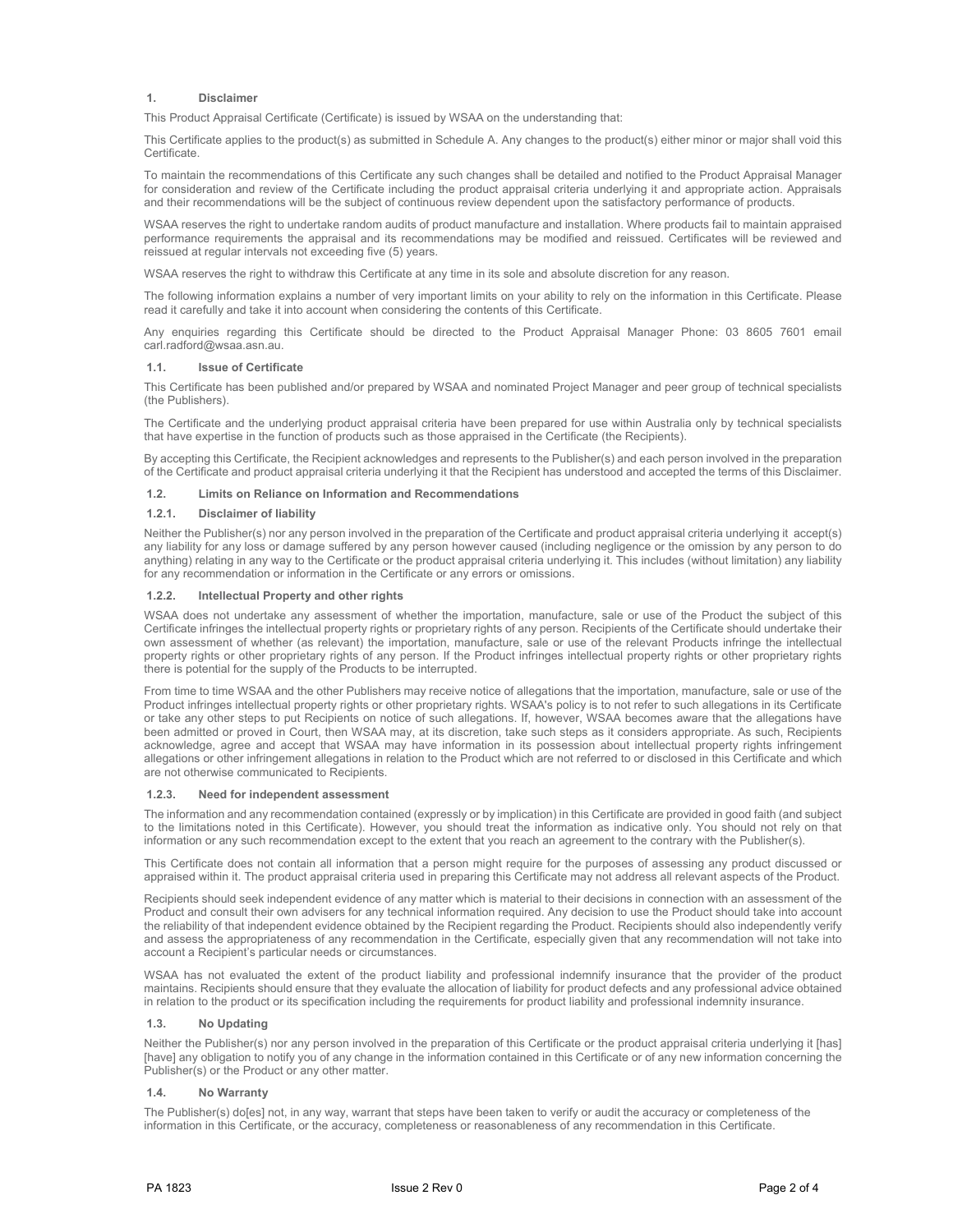#### **1. Disclaimer**

This Product Appraisal Certificate (Certificate) is issued by WSAA on the understanding that:

This Certificate applies to the product(s) as submitted in Schedule A. Any changes to the product(s) either minor or major shall void this **Certificate** 

To maintain the recommendations of this Certificate any such changes shall be detailed and notified to the Product Appraisal Manager for consideration and review of the Certificate including the product appraisal criteria underlying it and appropriate action. Appraisals and their recommendations will be the subject of continuous review dependent upon the satisfactory performance of products.

WSAA reserves the right to undertake random audits of product manufacture and installation. Where products fail to maintain appraised performance requirements the appraisal and its recommendations may be modified and reissued. Certificates will be reviewed and reissued at regular intervals not exceeding five (5) years.

WSAA reserves the right to withdraw this Certificate at any time in its sole and absolute discretion for any reason.

The following information explains a number of very important limits on your ability to rely on the information in this Certificate. Please read it carefully and take it into account when considering the contents of this Certificate.

Any enquiries regarding this Certificate should be directed to the Product Appraisal Manager Phone: 03 8605 7601 email carl.radford@wsaa.asn.au.

#### **1.1. Issue of Certificate**

This Certificate has been published and/or prepared by WSAA and nominated Project Manager and peer group of technical specialists (the Publishers).

The Certificate and the underlying product appraisal criteria have been prepared for use within Australia only by technical specialists that have expertise in the function of products such as those appraised in the Certificate (the Recipients).

By accepting this Certificate, the Recipient acknowledges and represents to the Publisher(s) and each person involved in the preparation of the Certificate and product appraisal criteria underlying it that the Recipient has understood and accepted the terms of this Disclaimer.

#### **1.2. Limits on Reliance on Information and Recommendations**

#### **1.2.1. Disclaimer of liability**

Neither the Publisher(s) nor any person involved in the preparation of the Certificate and product appraisal criteria underlying it accept(s) any liability for any loss or damage suffered by any person however caused (including negligence or the omission by any person to do anything) relating in any way to the Certificate or the product appraisal criteria underlying it. This includes (without limitation) any liability for any recommendation or information in the Certificate or any errors or omissions.

#### **1.2.2. Intellectual Property and other rights**

WSAA does not undertake any assessment of whether the importation, manufacture, sale or use of the Product the subject of this Certificate infringes the intellectual property rights or proprietary rights of any person. Recipients of the Certificate should undertake their own assessment of whether (as relevant) the importation, manufacture, sale or use of the relevant Products infringe the intellectual property rights or other proprietary rights of any person. If the Product infringes intellectual property rights or other proprietary rights there is potential for the supply of the Products to be interrupted.

From time to time WSAA and the other Publishers may receive notice of allegations that the importation, manufacture, sale or use of the Product infringes intellectual property rights or other proprietary rights. WSAA's policy is to not refer to such allegations in its Certificate or take any other steps to put Recipients on notice of such allegations. If, however, WSAA becomes aware that the allegations have been admitted or proved in Court, then WSAA may, at its discretion, take such steps as it considers appropriate. As such, Recipients acknowledge, agree and accept that WSAA may have information in its possession about intellectual property rights infringement allegations or other infringement allegations in relation to the Product which are not referred to or disclosed in this Certificate and which are not otherwise communicated to Recipients.

#### **1.2.3. Need for independent assessment**

The information and any recommendation contained (expressly or by implication) in this Certificate are provided in good faith (and subject to the limitations noted in this Certificate). However, you should treat the information as indicative only. You should not rely on that information or any such recommendation except to the extent that you reach an agreement to the contrary with the Publisher(s).

This Certificate does not contain all information that a person might require for the purposes of assessing any product discussed or appraised within it. The product appraisal criteria used in preparing this Certificate may not address all relevant aspects of the Product.

Recipients should seek independent evidence of any matter which is material to their decisions in connection with an assessment of the Product and consult their own advisers for any technical information required. Any decision to use the Product should take into account the reliability of that independent evidence obtained by the Recipient regarding the Product. Recipients should also independently verify and assess the appropriateness of any recommendation in the Certificate, especially given that any recommendation will not take into account a Recipient's particular needs or circumstances.

WSAA has not evaluated the extent of the product liability and professional indemnify insurance that the provider of the product maintains. Recipients should ensure that they evaluate the allocation of liability for product defects and any professional advice obtained in relation to the product or its specification including the requirements for product liability and professional indemnity insurance.

#### **1.3. No Updating**

Neither the Publisher(s) nor any person involved in the preparation of this Certificate or the product appraisal criteria underlying it [has] [have] any obligation to notify you of any change in the information contained in this Certificate or of any new information concerning the Publisher(s) or the Product or any other matter.

#### **1.4. No Warranty**

The Publisher(s) do[es] not, in any way, warrant that steps have been taken to verify or audit the accuracy or completeness of the information in this Certificate, or the accuracy, completeness or reasonableness of any recommendation in this Certificate.